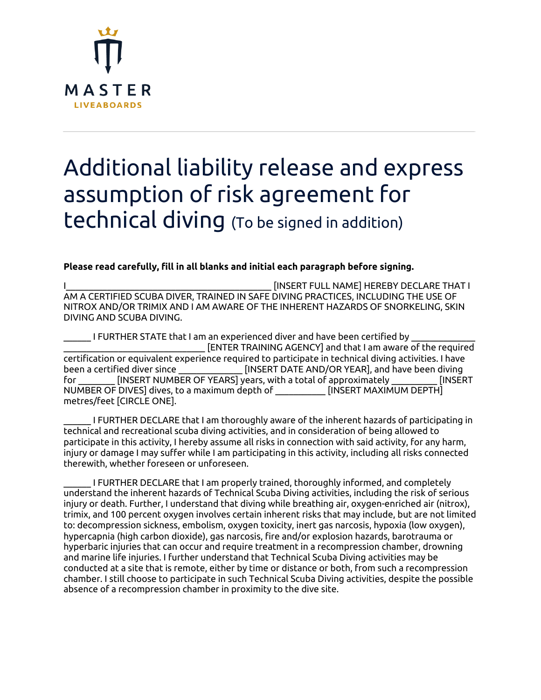

## Additional liability release and express assumption of risk agreement for technical diving (To be signed in addition)

## **Please read carefully, fill in all blanks and initial each paragraph before signing.**

[INSERT FULL NAME] HEREBY DECLARE THAT I AM A CERTIFIED SCUBA DIVER, TRAINED IN SAFE DIVING PRACTICES, INCLUDING THE USE OF NITROX AND/OR TRIMIX AND I AM AWARE OF THE INHERENT HAZARDS OF SNORKELING, SKIN DIVING AND SCUBA DIVING.

I FURTHER STATE that I am an experienced diver and have been certified by \_\_\_\_\_\_\_\_\_\_\_\_\_\_\_\_\_\_\_\_\_\_\_\_\_\_\_\_\_\_\_ [ENTER TRAINING AGENCY] and that I am aware of the required certification or equivalent experience required to participate in technical diving activities. I have been a certified diver since \_\_\_\_\_\_\_\_\_\_\_\_\_\_ [INSERT DATE AND/OR YEAR], and have been diving for FINSERT NUMBER OF YEARS] years, with a total of approximately FINSERT NUMBER OF DIVES] dives, to a maximum depth of \_\_\_\_\_\_\_\_\_\_\_ [INSERT MAXIMUM DEPTH] metres/feet [CIRCLE ONE].

I FURTHER DECLARE that I am thoroughly aware of the inherent hazards of participating in technical and recreational scuba diving activities, and in consideration of being allowed to participate in this activity, I hereby assume all risks in connection with said activity, for any harm, injury or damage I may suffer while I am participating in this activity, including all risks connected therewith, whether foreseen or unforeseen.

\_\_\_\_\_\_ I FURTHER DECLARE that I am properly trained, thoroughly informed, and completely understand the inherent hazards of Technical Scuba Diving activities, including the risk of serious injury or death. Further, I understand that diving while breathing air, oxygen-enriched air (nitrox), trimix, and 100 percent oxygen involves certain inherent risks that may include, but are not limited to: decompression sickness, embolism, oxygen toxicity, inert gas narcosis, hypoxia (low oxygen), hypercapnia (high carbon dioxide), gas narcosis, fire and/or explosion hazards, barotrauma or hyperbaric injuries that can occur and require treatment in a recompression chamber, drowning and marine life injuries. I further understand that Technical Scuba Diving activities may be conducted at a site that is remote, either by time or distance or both, from such a recompression chamber. I still choose to participate in such Technical Scuba Diving activities, despite the possible absence of a recompression chamber in proximity to the dive site.